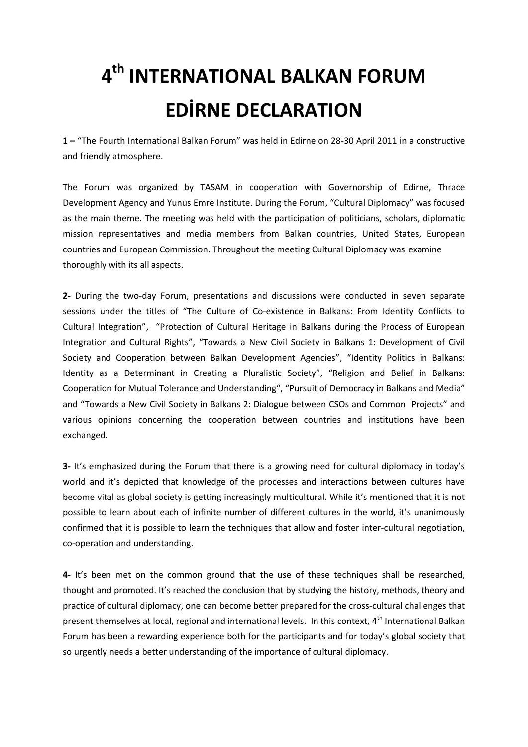## **4 th INTERNATIONAL BALKAN FORUM EDİRNE DECLARATION**

**1 –** "The Fourth International Balkan Forum" was held in Edirne on 28-30 April 2011 in a constructive and friendly atmosphere.

The Forum was organized by TASAM in cooperation with Governorship of Edirne, Thrace Development Agency and Yunus Emre Institute. During the Forum, "Cultural Diplomacy" was focused as the main theme. The meeting was held with the participation of politicians, scholars, diplomatic mission representatives and media members from Balkan countries, United States, European countries and European Commission. Throughout the meeting Cultural Diplomacy was examine thoroughly with its all aspects.

**2-** During the two-day Forum, presentations and discussions were conducted in seven separate sessions under the titles of "The Culture of Co-existence in Balkans: From Identity Conflicts to Cultural Integration", "Protection of Cultural Heritage in Balkans during the Process of European Integration and Cultural Rights", "Towards a New Civil Society in Balkans 1: Development of Civil Society and Cooperation between Balkan Development Agencies", "Identity Politics in Balkans: Identity as a Determinant in Creating a Pluralistic Society", "Religion and Belief in Balkans: Cooperation for Mutual Tolerance and Understanding", "Pursuit of Democracy in Balkans and Media" and "Towards a New Civil Society in Balkans 2: Dialogue between CSOs and Common Projects" and various opinions concerning the cooperation between countries and institutions have been exchanged.

**3-** It's emphasized during the Forum that there is a growing need for cultural diplomacy in today's world and it's depicted that knowledge of the processes and interactions between cultures have become vital as global society is getting increasingly multicultural. While it's mentioned that it is not possible to learn about each of infinite number of different cultures in the world, it's unanimously confirmed that it is possible to learn the techniques that allow and foster inter-cultural negotiation, co-operation and understanding.

**4-** It's been met on the common ground that the use of these techniques shall be researched, thought and promoted. It's reached the conclusion that by studying the history, methods, theory and practice of cultural diplomacy, one can become better prepared for the cross-cultural challenges that present themselves at local, regional and international levels. In this context, 4<sup>th</sup> International Balkan Forum has been a rewarding experience both for the participants and for today's global society that so urgently needs a better understanding of the importance of cultural diplomacy.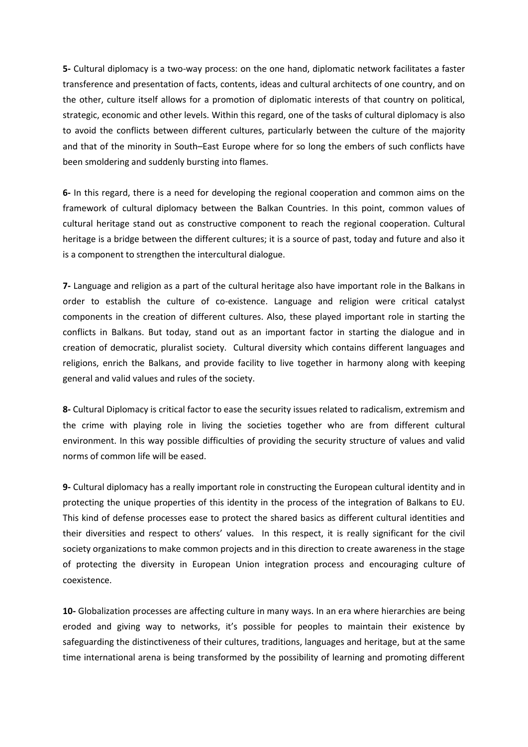**5-** Cultural diplomacy is a two-way process: on the one hand, diplomatic network facilitates a faster transference and presentation of facts, contents, ideas and cultural architects of one country, and on the other, culture itself allows for a promotion of diplomatic interests of that country on political, strategic, economic and other levels. Within this regard, one of the tasks of cultural diplomacy is also to avoid the conflicts between different cultures, particularly between the culture of the majority and that of the minority in South–East Europe where for so long the embers of such conflicts have been smoldering and suddenly bursting into flames.

**6-** In this regard, there is a need for developing the regional cooperation and common aims on the framework of cultural diplomacy between the Balkan Countries. In this point, common values of cultural heritage stand out as constructive component to reach the regional cooperation. Cultural heritage is a bridge between the different cultures; it is a source of past, today and future and also it is a component to strengthen the intercultural dialogue.

**7-** Language and religion as a part of the cultural heritage also have important role in the Balkans in order to establish the culture of co-existence. Language and religion were critical catalyst components in the creation of different cultures. Also, these played important role in starting the conflicts in Balkans. But today, stand out as an important factor in starting the dialogue and in creation of democratic, pluralist society. Cultural diversity which contains different languages and religions, enrich the Balkans, and provide facility to live together in harmony along with keeping general and valid values and rules of the society.

**8-** Cultural Diplomacy is critical factor to ease the security issues related to radicalism, extremism and the crime with playing role in living the societies together who are from different cultural environment. In this way possible difficulties of providing the security structure of values and valid norms of common life will be eased.

**9-** Cultural diplomacy has a really important role in constructing the European cultural identity and in protecting the unique properties of this identity in the process of the integration of Balkans to EU. This kind of defense processes ease to protect the shared basics as different cultural identities and their diversities and respect to others' values. In this respect, it is really significant for the civil society organizations to make common projects and in this direction to create awareness in the stage of protecting the diversity in European Union integration process and encouraging culture of coexistence.

**10-** Globalization processes are affecting culture in many ways. In an era where hierarchies are being eroded and giving way to networks, it's possible for peoples to maintain their existence by safeguarding the distinctiveness of their cultures, traditions, languages and heritage, but at the same time international arena is being transformed by the possibility of learning and promoting different